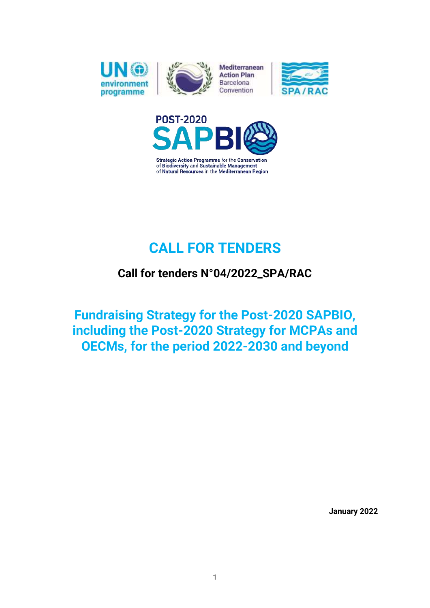

Mediterranean **Action Plan** Barcelona Convention





**Strategic Action Programme for the Conservation** of Biodiversity and Sustainable Management of Natural Resources in the Mediterranean Region

# **CALL FOR TENDERS**

## **Call for tenders N°04/2022\_SPA/RAC**

**Fundraising Strategy for the Post-2020 SAPBIO, including the Post-2020 Strategy for MCPAs and OECMs, for the period 2022-2030 and beyond**

**January 2022**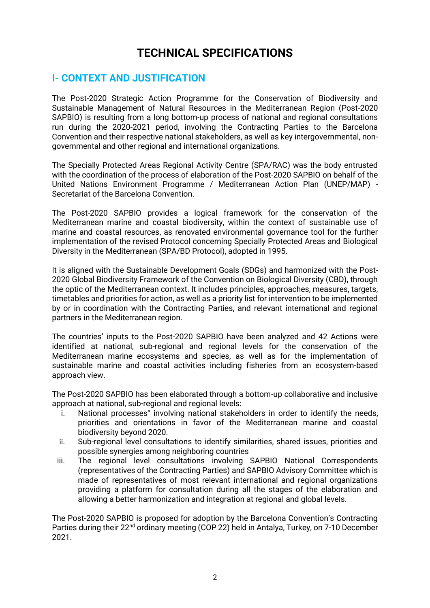## **TECHNICAL SPECIFICATIONS**

### **I- CONTEXT AND JUSTIFICATION**

The Post-2020 Strategic Action Programme for the Conservation of Biodiversity and Sustainable Management of Natural Resources in the Mediterranean Region (Post-2020 SAPBIO) is resulting from a long bottom-up process of national and regional consultations run during the 2020-2021 period, involving the Contracting Parties to the Barcelona Convention and their respective national stakeholders, as well as key intergovernmental, nongovernmental and other regional and international organizations.

The Specially Protected Areas Regional Activity Centre (SPA/RAC) was the body entrusted with the coordination of the process of elaboration of the Post-2020 SAPBIO on behalf of the United Nations Environment Programme / Mediterranean Action Plan (UNEP/MAP) - Secretariat of the Barcelona Convention.

The Post-2020 SAPBIO provides a logical framework for the conservation of the Mediterranean marine and coastal biodiversity, within the context of sustainable use of marine and coastal resources, as renovated environmental governance tool for the further implementation of the revised Protocol concerning Specially Protected Areas and Biological Diversity in the Mediterranean (SPA/BD Protocol), adopted in 1995.

It is aligned with the Sustainable Development Goals (SDGs) and harmonized with the Post-2020 Global Biodiversity Framework of the Convention on Biological Diversity (CBD), through the optic of the Mediterranean context. It includes principles, approaches, measures, targets, timetables and priorities for action, as well as a priority list for intervention to be implemented by or in coordination with the Contracting Parties, and relevant international and regional partners in the Mediterranean region.

The countries' inputs to the Post-2020 SAPBIO have been analyzed and 42 Actions were identified at national, sub-regional and regional levels for the conservation of the Mediterranean marine ecosystems and species, as well as for the implementation of sustainable marine and coastal activities including fisheries from an ecosystem-based approach view.

The Post-2020 SAPBIO has been elaborated through a bottom-up collaborative and inclusive approach at national, sub-regional and regional levels:

- i. National processes" involving national stakeholders in order to identify the needs, priorities and orientations in favor of the Mediterranean marine and coastal biodiversity beyond 2020.
- ii. Sub-regional level consultations to identify similarities, shared issues, priorities and possible synergies among neighboring countries
- iii. The regional level consultations involving SAPBIO National Correspondents (representatives of the Contracting Parties) and SAPBIO Advisory Committee which is made of representatives of most relevant international and regional organizations providing a platform for consultation during all the stages of the elaboration and allowing a better harmonization and integration at regional and global levels.

The Post-2020 SAPBIO is proposed for adoption by the Barcelona Convention's Contracting Parties during their 22<sup>nd</sup> ordinary meeting (COP 22) held in Antalya, Turkey, on 7-10 December 2021.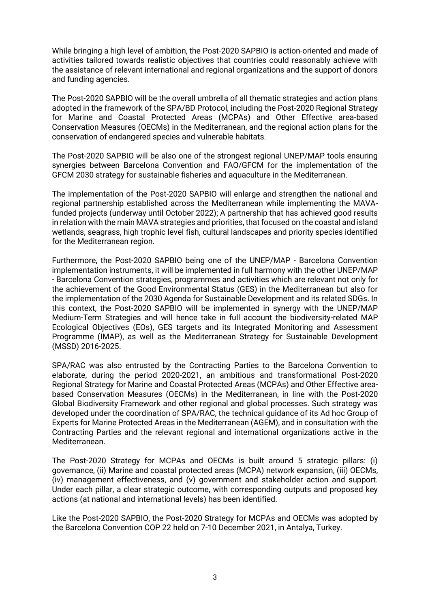While bringing a high level of ambition, the Post-2020 SAPBIO is action-oriented and made of activities tailored towards realistic objectives that countries could reasonably achieve with the assistance of relevant international and regional organizations and the support of donors and funding agencies.

The Post-2020 SAPBIO will be the overall umbrella of all thematic strategies and action plans adopted in the framework of the SPA/BD Protocol, including the Post-2020 Regional Strategy for Marine and Coastal Protected Areas (MCPAs) and Other Effective area-based Conservation Measures (OECMs) in the Mediterranean, and the regional action plans for the conservation of endangered species and vulnerable habitats.

The Post-2020 SAPBIO will be also one of the strongest regional UNEP/MAP tools ensuring synergies between Barcelona Convention and FAO/GFCM for the implementation of the GFCM 2030 strategy for sustainable fisheries and aquaculture in the Mediterranean.

The implementation of the Post-2020 SAPBIO will enlarge and strengthen the national and regional partnership established across the Mediterranean while implementing the MAVAfunded projects (underway until October 2022); A partnership that has achieved good results in relation with the main MAVA strategies and priorities, that focused on the coastal and island wetlands, seagrass, high trophic level fish, cultural landscapes and priority species identified for the Mediterranean region.

Furthermore, the Post-2020 SAPBIO being one of the UNEP/MAP - Barcelona Convention implementation instruments, it will be implemented in full harmony with the other UNEP/MAP - Barcelona Convention strategies, programmes and activities which are relevant not only for the achievement of the Good Environmental Status (GES) in the Mediterranean but also for the implementation of the 2030 Agenda for Sustainable Development and its related SDGs. In this context, the Post-2020 SAPBIO will be implemented in synergy with the UNEP/MAP Medium-Term Strategies and will hence take in full account the biodiversity-related MAP Ecological Objectives (EOs), GES targets and its Integrated Monitoring and Assessment Programme (IMAP), as well as the Mediterranean Strategy for Sustainable Development (MSSD) 2016-2025.

SPA/RAC was also entrusted by the Contracting Parties to the Barcelona Convention to elaborate, during the period 2020-2021, an ambitious and transformational Post-2020 Regional Strategy for Marine and Coastal Protected Areas (MCPAs) and Other Effective areabased Conservation Measures (OECMs) in the Mediterranean, in line with the Post-2020 Global Biodiversity Framework and other regional and global processes. Such strategy was developed under the coordination of SPA/RAC, the technical guidance of its Ad hoc Group of Experts for Marine Protected Areas in the Mediterranean (AGEM), and in consultation with the Contracting Parties and the relevant regional and international organizations active in the Mediterranean.

The Post-2020 Strategy for MCPAs and OECMs is built around 5 strategic pillars: (i) governance, (ii) Marine and coastal protected areas (MCPA) network expansion, (iii) OECMs, (iv) management effectiveness, and (v) government and stakeholder action and support. Under each pillar, a clear strategic outcome, with corresponding outputs and proposed key actions (at national and international levels) has been identified.

Like the Post-2020 SAPBIO, the Post-2020 Strategy for MCPAs and OECMs was adopted by the Barcelona Convention COP 22 held on 7-10 December 2021, in Antalya, Turkey.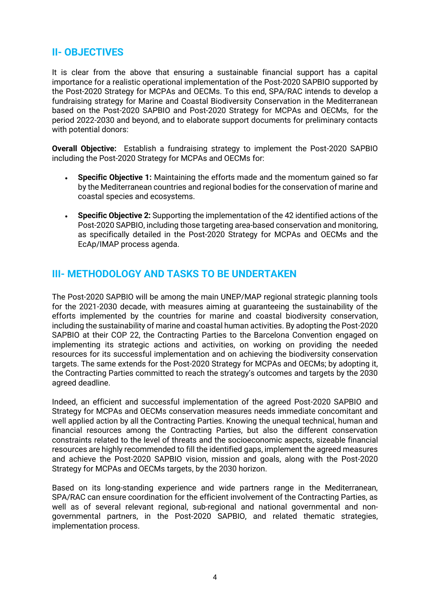### **II- OBJECTIVES**

It is clear from the above that ensuring a sustainable financial support has a capital importance for a realistic operational implementation of the Post-2020 SAPBIO supported by the Post-2020 Strategy for MCPAs and OECMs. To this end, SPA/RAC intends to develop a fundraising strategy for Marine and Coastal Biodiversity Conservation in the Mediterranean based on the Post-2020 SAPBIO and Post-2020 Strategy for MCPAs and OECMs, for the period 2022-2030 and beyond, and to elaborate support documents for preliminary contacts with potential donors:

**Overall Objective:** Establish a fundraising strategy to implement the Post-2020 SAPBIO including the Post-2020 Strategy for MCPAs and OECMs for:

- **Specific Objective 1:** Maintaining the efforts made and the momentum gained so far by the Mediterranean countries and regional bodies for the conservation of marine and coastal species and ecosystems.
- **Specific Objective 2:** Supporting the implementation of the 42 identified actions of the Post-2020 SAPBIO, including those targeting area-based conservation and monitoring, as specifically detailed in the Post-2020 Strategy for MCPAs and OECMs and the EcAp/IMAP process agenda.

### **III- METHODOLOGY AND TASKS TO BE UNDERTAKEN**

The Post-2020 SAPBIO will be among the main UNEP/MAP regional strategic planning tools for the 2021-2030 decade, with measures aiming at guaranteeing the sustainability of the efforts implemented by the countries for marine and coastal biodiversity conservation, including the sustainability of marine and coastal human activities. By adopting the Post-2020 SAPBIO at their COP 22, the Contracting Parties to the Barcelona Convention engaged on implementing its strategic actions and activities, on working on providing the needed resources for its successful implementation and on achieving the biodiversity conservation targets. The same extends for the Post-2020 Strategy for MCPAs and OECMs; by adopting it, the Contracting Parties committed to reach the strategy's outcomes and targets by the 2030 agreed deadline.

Indeed, an efficient and successful implementation of the agreed Post-2020 SAPBIO and Strategy for MCPAs and OECMs conservation measures needs immediate concomitant and well applied action by all the Contracting Parties. Knowing the unequal technical, human and financial resources among the Contracting Parties, but also the different conservation constraints related to the level of threats and the socioeconomic aspects, sizeable financial resources are highly recommended to fill the identified gaps, implement the agreed measures and achieve the Post-2020 SAPBIO vision, mission and goals, along with the Post-2020 Strategy for MCPAs and OECMs targets, by the 2030 horizon.

Based on its long-standing experience and wide partners range in the Mediterranean, SPA/RAC can ensure coordination for the efficient involvement of the Contracting Parties, as well as of several relevant regional, sub-regional and national governmental and nongovernmental partners, in the Post-2020 SAPBIO, and related thematic strategies, implementation process.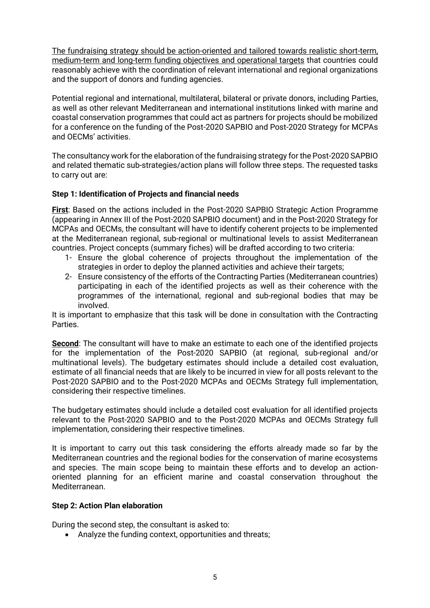The fundraising strategy should be action-oriented and tailored towards realistic short-term, medium-term and long-term funding objectives and operational targets that countries could reasonably achieve with the coordination of relevant international and regional organizations and the support of donors and funding agencies.

Potential regional and international, multilateral, bilateral or private donors, including Parties, as well as other relevant Mediterranean and international institutions linked with marine and coastal conservation programmes that could act as partners for projects should be mobilized for a conference on the funding of the Post-2020 SAPBIO and Post-2020 Strategy for MCPAs and OECMs' activities.

The consultancy work for the elaboration of the fundraising strategy for the Post-2020 SAPBIO and related thematic sub-strategies/action plans will follow three steps. The requested tasks to carry out are:

#### **Step 1: Identification of Projects and financial needs**

**First**: Based on the actions included in the Post-2020 SAPBIO Strategic Action Programme (appearing in Annex III of the Post-2020 SAPBIO document) and in the Post-2020 Strategy for MCPAs and OECMs, the consultant will have to identify coherent projects to be implemented at the Mediterranean regional, sub-regional or multinational levels to assist Mediterranean countries. Project concepts (summary fiches) will be drafted according to two criteria:

- 1- Ensure the global coherence of projects throughout the implementation of the strategies in order to deploy the planned activities and achieve their targets:
- 2- Ensure consistency of the efforts of the Contracting Parties (Mediterranean countries) participating in each of the identified projects as well as their coherence with the programmes of the international, regional and sub-regional bodies that may be involved.

It is important to emphasize that this task will be done in consultation with the Contracting **Parties** 

**Second**: The consultant will have to make an estimate to each one of the identified projects for the implementation of the Post-2020 SAPBIO (at regional, sub-regional and/or multinational levels). The budgetary estimates should include a detailed cost evaluation, estimate of all financial needs that are likely to be incurred in view for all posts relevant to the Post-2020 SAPBIO and to the Post-2020 MCPAs and OECMs Strategy full implementation, considering their respective timelines.

The budgetary estimates should include a detailed cost evaluation for all identified projects relevant to the Post-2020 SAPBIO and to the Post-2020 MCPAs and OECMs Strategy full implementation, considering their respective timelines.

It is important to carry out this task considering the efforts already made so far by the Mediterranean countries and the regional bodies for the conservation of marine ecosystems and species. The main scope being to maintain these efforts and to develop an actionoriented planning for an efficient marine and coastal conservation throughout the Mediterranean.

#### **Step 2: Action Plan elaboration**

During the second step, the consultant is asked to:

• Analyze the funding context, opportunities and threats;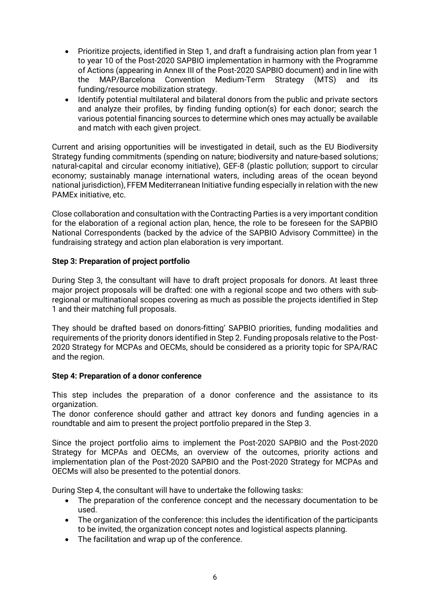- Prioritize projects, identified in Step 1, and draft a fundraising action plan from year 1 to year 10 of the Post-2020 SAPBIO implementation in harmony with the Programme of Actions (appearing in Annex III of the Post-2020 SAPBIO document) and in line with the MAP/Barcelona Convention Medium-Term Strategy (MTS) and its funding/resource mobilization strategy.
- Identify potential multilateral and bilateral donors from the public and private sectors and analyze their profiles, by finding funding option(s) for each donor; search the various potential financing sources to determine which ones may actually be available and match with each given project.

Current and arising opportunities will be investigated in detail, such as the EU Biodiversity Strategy funding commitments (spending on nature; biodiversity and nature-based solutions; natural-capital and circular economy initiative), GEF-8 (plastic pollution; support to circular economy; sustainably manage international waters, including areas of the ocean beyond national jurisdiction), FFEM Mediterranean Initiative funding especially in relation with the new PAMEx initiative, etc.

Close collaboration and consultation with the Contracting Parties is a very important condition for the elaboration of a regional action plan, hence, the role to be foreseen for the SAPBIO National Correspondents (backed by the advice of the SAPBIO Advisory Committee) in the fundraising strategy and action plan elaboration is very important.

#### **Step 3: Preparation of project portfolio**

During Step 3, the consultant will have to draft project proposals for donors. At least three major project proposals will be drafted: one with a regional scope and two others with subregional or multinational scopes covering as much as possible the projects identified in Step 1 and their matching full proposals.

They should be drafted based on donors-fitting' SAPBIO priorities, funding modalities and requirements of the priority donors identified in Step 2. Funding proposals relative to the Post-2020 Strategy for MCPAs and OECMs, should be considered as a priority topic for SPA/RAC and the region.

#### **Step 4: Preparation of a donor conference**

This step includes the preparation of a donor conference and the assistance to its organization.

The donor conference should gather and attract key donors and funding agencies in a roundtable and aim to present the project portfolio prepared in the Step 3.

Since the project portfolio aims to implement the Post-2020 SAPBIO and the Post-2020 Strategy for MCPAs and OECMs, an overview of the outcomes, priority actions and implementation plan of the Post-2020 SAPBIO and the Post-2020 Strategy for MCPAs and OECMs will also be presented to the potential donors.

During Step 4, the consultant will have to undertake the following tasks:

- The preparation of the conference concept and the necessary documentation to be used.
- The organization of the conference: this includes the identification of the participants to be invited, the organization concept notes and logistical aspects planning.
- The facilitation and wrap up of the conference.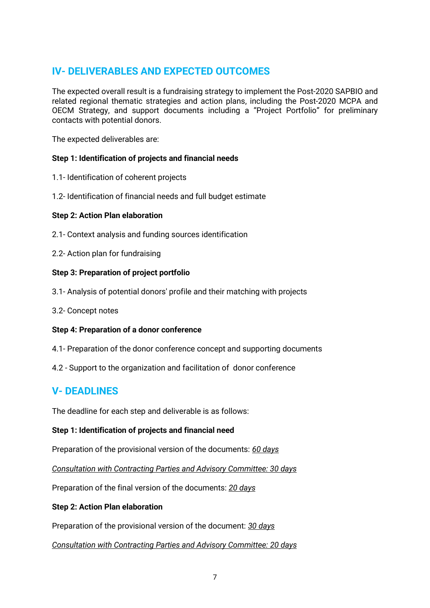## **IV- DELIVERABLES AND EXPECTED OUTCOMES**

The expected overall result is a fundraising strategy to implement the Post-2020 SAPBIO and related regional thematic strategies and action plans, including the Post-2020 MCPA and OECM Strategy, and support documents including a "Project Portfolio" for preliminary contacts with potential donors.

The expected deliverables are:

#### **Step 1: Identification of projects and financial needs**

- 1.1- Identification of coherent projects
- 1.2- Identification of financial needs and full budget estimate

#### **Step 2: Action Plan elaboration**

- 2.1- Context analysis and funding sources identification
- 2.2- Action plan for fundraising

#### **Step 3: Preparation of project portfolio**

- 3.1- Analysis of potential donors' profile and their matching with projects
- 3.2- Concept notes

#### **Step 4: Preparation of a donor conference**

- 4.1- Preparation of the donor conference concept and supporting documents
- 4.2 Support to the organization and facilitation of donor conference

### **V- DEADLINES**

The deadline for each step and deliverable is as follows:

#### **Step 1: Identification of projects and financial need**

Preparation of the provisional version of the documents: *60 days*

*Consultation with Contracting Parties and Advisory Committee: 30 days*

Preparation of the final version of the documents: *20 days*

#### **Step 2: Action Plan elaboration**

Preparation of the provisional version of the document: *30 days*

*Consultation with Contracting Parties and Advisory Committee: 20 days*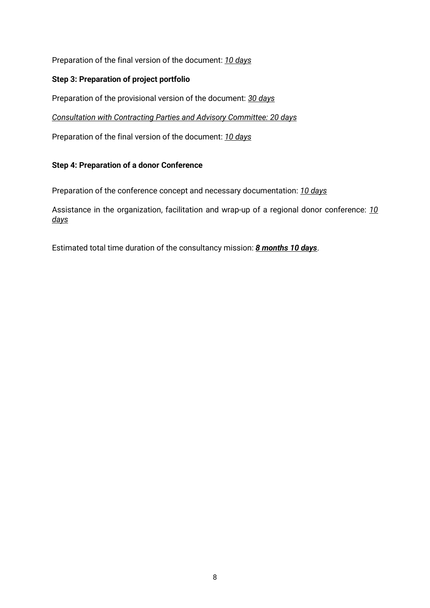Preparation of the final version of the document: *10 days*

#### **Step 3: Preparation of project portfolio**

Preparation of the provisional version of the document: *30 days*

*Consultation with Contracting Parties and Advisory Committee: 20 days*

Preparation of the final version of the document: *10 days*

#### **Step 4: Preparation of a donor Conference**

Preparation of the conference concept and necessary documentation: *10 days*

Assistance in the organization, facilitation and wrap-up of a regional donor conference: *10 days*

Estimated total time duration of the consultancy mission: *8 months 10 days*.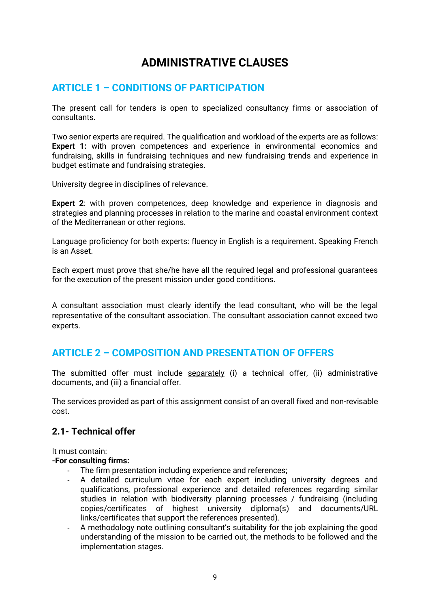## **ADMINISTRATIVE CLAUSES**

## **ARTICLE 1 – CONDITIONS OF PARTICIPATION**

The present call for tenders is open to specialized consultancy firms or association of consultants.

Two senior experts are required. The qualification and workload of the experts are as follows: **Expert 1:** with proven competences and experience in environmental economics and fundraising, skills in fundraising techniques and new fundraising trends and experience in budget estimate and fundraising strategies.

University degree in disciplines of relevance.

**Expert 2:** with proven competences, deep knowledge and experience in diagnosis and strategies and planning processes in relation to the marine and coastal environment context of the Mediterranean or other regions.

Language proficiency for both experts: fluency in English is a requirement. Speaking French is an Asset.

Each expert must prove that she/he have all the required legal and professional guarantees for the execution of the present mission under good conditions.

A consultant association must clearly identify the lead consultant, who will be the legal representative of the consultant association. The consultant association cannot exceed two experts.

### **ARTICLE 2 – COMPOSITION AND PRESENTATION OF OFFERS**

The submitted offer must include separately (i) a technical offer, (ii) administrative documents, and (iii) a financial offer.

The services provided as part of this assignment consist of an overall fixed and non-revisable cost.

### **2.1- Technical offer**

It must contain:

#### **-For consulting firms:**

- The firm presentation including experience and references;
- A detailed curriculum vitae for each expert including university degrees and qualifications, professional experience and detailed references regarding similar studies in relation with biodiversity planning processes / fundraising (including copies/certificates of highest university diploma(s) and documents/URL links/certificates that support the references presented).
- A methodology note outlining consultant's suitability for the job explaining the good understanding of the mission to be carried out, the methods to be followed and the implementation stages.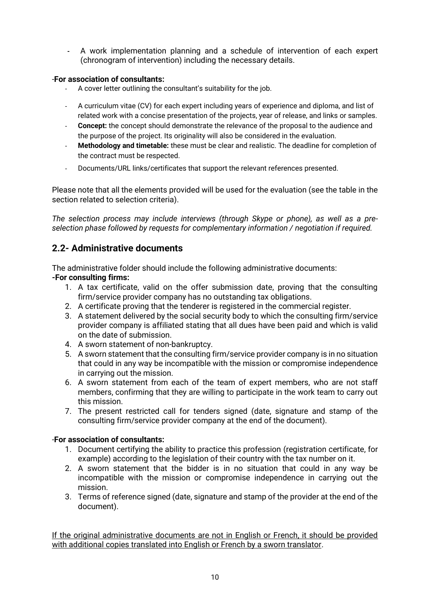- A work implementation planning and a schedule of intervention of each expert (chronogram of intervention) including the necessary details.

#### -**For association of consultants:**

- A cover letter outlining the consultant's suitability for the job.
- A curriculum vitae (CV) for each expert including years of experience and diploma, and list of related work with a concise presentation of the projects, year of release, and links or samples.
- **Concept:** the concept should demonstrate the relevance of the proposal to the audience and the purpose of the project. Its originality will also be considered in the evaluation.
- **Methodology and timetable:** these must be clear and realistic. The deadline for completion of the contract must be respected.
- Documents/URL links/certificates that support the relevant references presented.

Please note that all the elements provided will be used for the evaluation (see the table in the section related to selection criteria).

*The selection process may include interviews (through Skype or phone), as well as a preselection phase followed by requests for complementary information / negotiation if required.*

### **2.2- Administrative documents**

The administrative folder should include the following administrative documents: **-For consulting firms:**

- 1. A tax certificate, valid on the offer submission date, proving that the consulting firm/service provider company has no outstanding tax obligations.
- 2. A certificate proving that the tenderer is registered in the commercial register.
- 3. A statement delivered by the social security body to which the consulting firm/service provider company is affiliated stating that all dues have been paid and which is valid on the date of submission.
- 4. A sworn statement of non-bankruptcy.
- 5. A sworn statement that the consulting firm/service provider company is in no situation that could in any way be incompatible with the mission or compromise independence in carrying out the mission.
- 6. A sworn statement from each of the team of expert members, who are not staff members, confirming that they are willing to participate in the work team to carry out this mission.
- 7. The present restricted call for tenders signed (date, signature and stamp of the consulting firm/service provider company at the end of the document).

#### -**For association of consultants:**

- 1. Document certifying the ability to practice this profession (registration certificate, for example) according to the legislation of their country with the tax number on it.
- 2. A sworn statement that the bidder is in no situation that could in any way be incompatible with the mission or compromise independence in carrying out the mission.
- 3. Terms of reference signed (date, signature and stamp of the provider at the end of the document).

If the original administrative documents are not in English or French, it should be provided with additional copies translated into English or French by a sworn translator.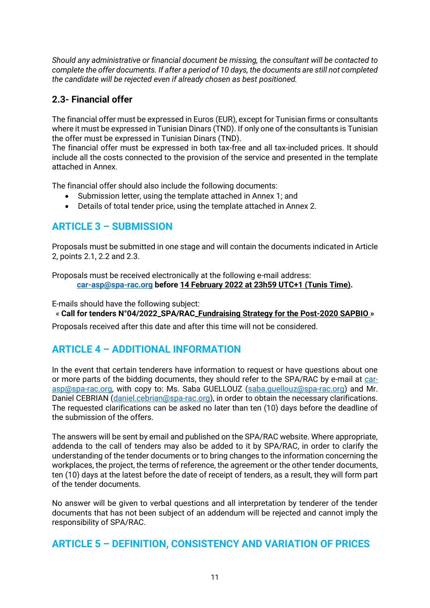*Should any administrative or financial document be missing, the consultant will be contacted to complete the offer documents. If after a period of 10 days, the documents are still not completed the candidate will be rejected even if already chosen as best positioned.*

### **2.3- Financial offer**

The financial offer must be expressed in Euros (EUR), except for Tunisian firms or consultants where it must be expressed in Tunisian Dinars (TND). If only one of the consultants is Tunisian the offer must be expressed in Tunisian Dinars (TND).

The financial offer must be expressed in both tax-free and all tax-included prices. It should include all the costs connected to the provision of the service and presented in the template attached in Annex.

The financial offer should also include the following documents:

- Submission letter, using the template attached in Annex 1; and
- Details of total tender price, using the template attached in Annex 2.

## **ARTICLE 3 – SUBMISSION**

Proposals must be submitted in one stage and will contain the documents indicated in Article 2, points 2.1, 2.2 and 2.3.

Proposals must be received electronically at the following e-mail address: **[car-asp@spa-rac.org](mailto:car-asp@spa-rac.org) before 14 February 2022 at 23h59 UTC+1 (Tunis Time).**

E-mails should have the following subject:

« **Call for tenders N°04/2022\_SPA/RAC\_Fundraising Strategy for the Post-2020 SAPBIO »**

Proposals received after this date and after this time will not be considered.

## **ARTICLE 4 – ADDITIONAL INFORMATION**

In the event that certain tenderers have information to request or have questions about one or more parts of the bidding documents, they should refer to the SPA/RAC by e-mail at [car](mailto:car-asp@spa-rac.org)[asp@spa-rac.org,](mailto:car-asp@spa-rac.org) with copy to: Ms. Saba GUELLOUZ [\(saba.guellouz@spa-rac.org\)](mailto:saba.guellouz@spa-rac.org) and Mr. Daniel CEBRIAN [\(daniel.cebrian@spa-rac.org\)](mailto:daniel.cebrian@spa-rac.org), in order to obtain the necessary clarifications. The requested clarifications can be asked no later than ten (10) days before the deadline of the submission of the offers.

The answers will be sent by email and published on the SPA/RAC website. Where appropriate, addenda to the call of tenders may also be added to it by SPA/RAC, in order to clarify the understanding of the tender documents or to bring changes to the information concerning the workplaces, the project, the terms of reference, the agreement or the other tender documents, ten (10) days at the latest before the date of receipt of tenders, as a result, they will form part of the tender documents.

No answer will be given to verbal questions and all interpretation by tenderer of the tender documents that has not been subject of an addendum will be rejected and cannot imply the responsibility of SPA/RAC.

### **ARTICLE 5 – DEFINITION, CONSISTENCY AND VARIATION OF PRICES**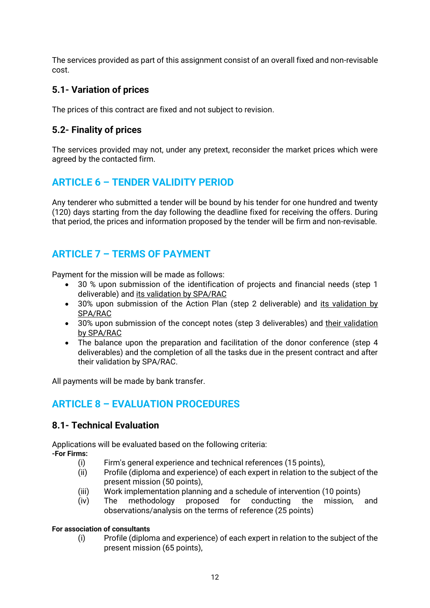The services provided as part of this assignment consist of an overall fixed and non-revisable cost.

### **5.1- Variation of prices**

The prices of this contract are fixed and not subject to revision.

### **5.2- Finality of prices**

The services provided may not, under any pretext, reconsider the market prices which were agreed by the contacted firm.

## **ARTICLE 6 – TENDER VALIDITY PERIOD**

Any tenderer who submitted a tender will be bound by his tender for one hundred and twenty (120) days starting from the day following the deadline fixed for receiving the offers. During that period, the prices and information proposed by the tender will be firm and non-revisable.

## **ARTICLE 7 – TERMS OF PAYMENT**

Payment for the mission will be made as follows:

- 30 % upon submission of the identification of projects and financial needs (step 1 deliverable) and its validation by SPA/RAC
- 30% upon submission of the Action Plan (step 2 deliverable) and its validation by SPA/RAC
- 30% upon submission of the concept notes (step 3 deliverables) and their validation by SPA/RAC
- The balance upon the preparation and facilitation of the donor conference (step 4 deliverables) and the completion of all the tasks due in the present contract and after their validation by SPA/RAC.

All payments will be made by bank transfer.

## **ARTICLE 8 – EVALUATION PROCEDURES**

### **8.1- Technical Evaluation**

Applications will be evaluated based on the following criteria: **-For Firms:**

- (i) Firm's general experience and technical references (15 points),
- (ii) Profile (diploma and experience) of each expert in relation to the subject of the present mission (50 points),
- (iii) Work implementation planning and a schedule of intervention (10 points)
- (iv) The methodology proposed for conducting the mission, and observations/analysis on the terms of reference (25 points)

#### **For association of consultants**

(i) Profile (diploma and experience) of each expert in relation to the subject of the present mission (65 points),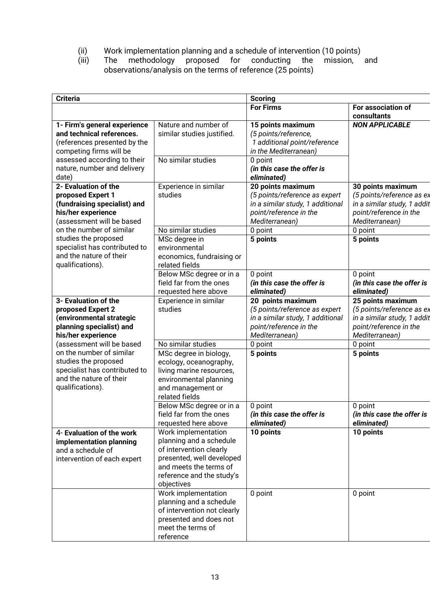- (ii) Work implementation planning and a schedule of intervention (10 points)
- (iii) The methodology proposed for conducting the mission, and observations/analysis on the terms of reference (25 points)

| <b>Criteria</b>                                                                                                                  |                                                                                                                                                                             | <b>Scoring</b>                                                                                                                     |                                                                                                                           |
|----------------------------------------------------------------------------------------------------------------------------------|-----------------------------------------------------------------------------------------------------------------------------------------------------------------------------|------------------------------------------------------------------------------------------------------------------------------------|---------------------------------------------------------------------------------------------------------------------------|
|                                                                                                                                  |                                                                                                                                                                             | <b>For Firms</b>                                                                                                                   | For association of<br>consultants                                                                                         |
| 1- Firm's general experience<br>and technical references.<br>(references presented by the<br>competing firms will be             | Nature and number of<br>similar studies justified.<br>No similar studies                                                                                                    | 15 points maximum<br>(5 points/reference,<br>1 additional point/reference<br>in the Mediterranean)                                 | <b>NON APPLICABLE</b>                                                                                                     |
| assessed according to their<br>nature, number and delivery<br>date)                                                              |                                                                                                                                                                             | 0 point<br>(in this case the offer is<br>eliminated)                                                                               |                                                                                                                           |
| 2- Evaluation of the<br>proposed Expert 1<br>(fundraising specialist) and<br>his/her experience<br>(assessment will be based     | Experience in similar<br>studies                                                                                                                                            | 20 points maximum<br>(5 points/reference as expert<br>in a similar study, 1 additional<br>point/reference in the<br>Mediterranean) | 30 points maximum<br>(5 points/reference as ex<br>in a similar study, 1 addit<br>point/reference in the<br>Mediterranean) |
| on the number of similar                                                                                                         | No similar studies                                                                                                                                                          | 0 point                                                                                                                            | 0 point                                                                                                                   |
| studies the proposed<br>specialist has contributed to<br>and the nature of their<br>qualifications).                             | MSc degree in<br>environmental<br>economics, fundraising or<br>related fields                                                                                               | 5 points                                                                                                                           | 5 points                                                                                                                  |
|                                                                                                                                  | Below MSc degree or in a<br>field far from the ones<br>requested here above                                                                                                 | 0 point<br>(in this case the offer is<br>eliminated)                                                                               | 0 point<br>(in this case the offer is<br>eliminated)                                                                      |
| 3- Evaluation of the<br>proposed Expert 2<br>(environmental strategic<br>planning specialist) and<br>his/her experience          | Experience in similar<br>studies                                                                                                                                            | 20 points maximum<br>(5 points/reference as expert<br>in a similar study, 1 additional<br>point/reference in the<br>Mediterranean) | 25 points maximum<br>(5 points/reference as ex<br>in a similar study, 1 addit<br>point/reference in the<br>Mediterranean) |
| (assessment will be based                                                                                                        | No similar studies                                                                                                                                                          | 0 point                                                                                                                            | 0 point                                                                                                                   |
| on the number of similar<br>studies the proposed<br>specialist has contributed to<br>and the nature of their<br>qualifications). | MSc degree in biology,<br>ecology, oceanography,<br>living marine resources,<br>environmental planning<br>and management or<br>related fields                               | 5 points                                                                                                                           | 5 points                                                                                                                  |
|                                                                                                                                  | Below MSc degree or in a<br>field far from the ones<br>requested here above                                                                                                 | 0 point<br>(in this case the offer is<br>eliminated)                                                                               | 0 point<br>(in this case the offer is<br>eliminated)                                                                      |
| 4- Evaluation of the work<br>implementation planning<br>and a schedule of<br>intervention of each expert                         | Work implementation<br>planning and a schedule<br>of intervention clearly<br>presented, well developed<br>and meets the terms of<br>reference and the study's<br>objectives | 10 points                                                                                                                          | 10 points                                                                                                                 |
|                                                                                                                                  | Work implementation<br>planning and a schedule<br>of intervention not clearly<br>presented and does not<br>meet the terms of<br>reference                                   | 0 point                                                                                                                            | 0 point                                                                                                                   |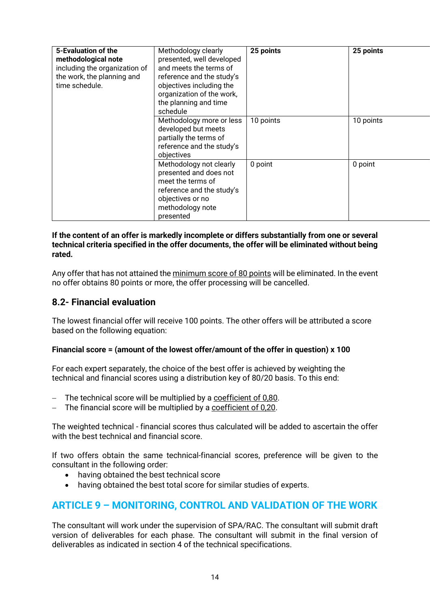| 5-Evaluation of the<br>methodological note<br>including the organization of<br>the work, the planning and<br>time schedule. | Methodology clearly<br>presented, well developed<br>and meets the terms of<br>reference and the study's<br>objectives including the<br>organization of the work,<br>the planning and time<br>schedule | 25 points | 25 points |
|-----------------------------------------------------------------------------------------------------------------------------|-------------------------------------------------------------------------------------------------------------------------------------------------------------------------------------------------------|-----------|-----------|
|                                                                                                                             | Methodology more or less<br>developed but meets<br>partially the terms of<br>reference and the study's<br>objectives                                                                                  | 10 points | 10 points |
|                                                                                                                             | Methodology not clearly<br>presented and does not<br>meet the terms of<br>reference and the study's<br>objectives or no<br>methodology note<br>presented                                              | 0 point   | 0 point   |

#### **If the content of an offer is markedly incomplete or differs substantially from one or several technical criteria specified in the offer documents, the offer will be eliminated without being rated.**

Any offer that has not attained the minimum score of 80 points will be eliminated. In the event no offer obtains 80 points or more, the offer processing will be cancelled.

### **8.2- Financial evaluation**

The lowest financial offer will receive 100 points. The other offers will be attributed a score based on the following equation:

#### **Financial score = (amount of the lowest offer/amount of the offer in question) x 100**

For each expert separately, the choice of the best offer is achieved by weighting the technical and financial scores using a distribution key of 80/20 basis. To this end:

- The technical score will be multiplied by a coefficient of 0,80.
- − The financial score will be multiplied by a coefficient of 0,20.

The weighted technical - financial scores thus calculated will be added to ascertain the offer with the best technical and financial score.

If two offers obtain the same technical-financial scores, preference will be given to the consultant in the following order:

- having obtained the best technical score
- having obtained the best total score for similar studies of experts.

### **ARTICLE 9 – MONITORING, CONTROL AND VALIDATION OF THE WORK**

The consultant will work under the supervision of SPA/RAC. The consultant will submit draft version of deliverables for each phase. The consultant will submit in the final version of deliverables as indicated in section 4 of the technical specifications.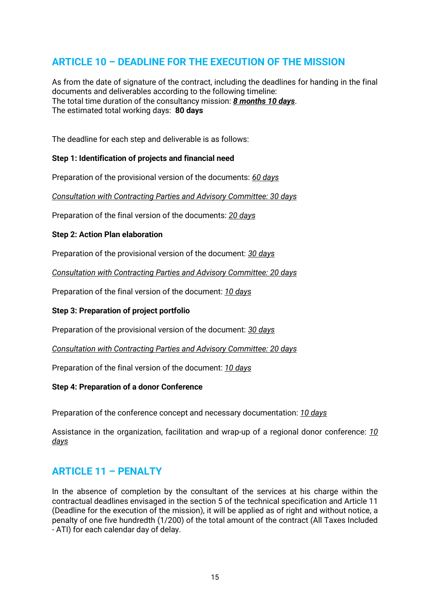## **ARTICLE 10 – DEADLINE FOR THE EXECUTION OF THE MISSION**

As from the date of signature of the contract, including the deadlines for handing in the final documents and deliverables according to the following timeline: The total time duration of the consultancy mission: *8 months 10 days*. The estimated total working days: **80 days**

The deadline for each step and deliverable is as follows:

#### **Step 1: Identification of projects and financial need**

Preparation of the provisional version of the documents: *60 days*

*Consultation with Contracting Parties and Advisory Committee: 30 days*

Preparation of the final version of the documents: *20 days*

#### **Step 2: Action Plan elaboration**

Preparation of the provisional version of the document: *30 days*

*Consultation with Contracting Parties and Advisory Committee: 20 days*

Preparation of the final version of the document: *10 days*

#### **Step 3: Preparation of project portfolio**

Preparation of the provisional version of the document: *30 days*

*Consultation with Contracting Parties and Advisory Committee: 20 days*

Preparation of the final version of the document: *10 days*

#### **Step 4: Preparation of a donor Conference**

Preparation of the conference concept and necessary documentation: *10 days*

Assistance in the organization, facilitation and wrap-up of a regional donor conference: *10 days*

### **ARTICLE 11 – PENALTY**

In the absence of completion by the consultant of the services at his charge within the contractual deadlines envisaged in the section 5 of the technical specification and Article 11 (Deadline for the execution of the mission), it will be applied as of right and without notice, a penalty of one five hundredth (1/200) of the total amount of the contract (All Taxes Included - ATI) for each calendar day of delay.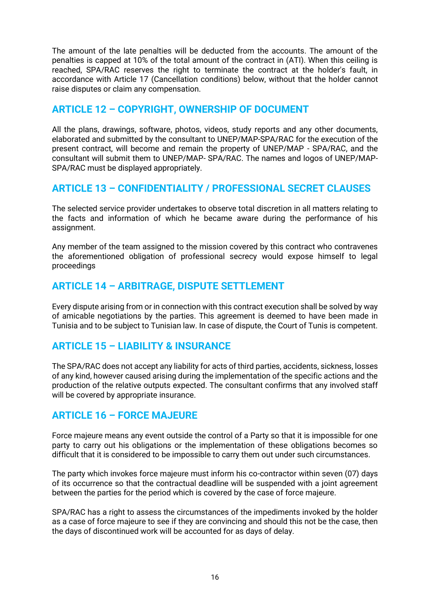The amount of the late penalties will be deducted from the accounts. The amount of the penalties is capped at 10% of the total amount of the contract in (ATI). When this ceiling is reached, SPA/RAC reserves the right to terminate the contract at the holder's fault, in accordance with Article 17 (Cancellation conditions) below, without that the holder cannot raise disputes or claim any compensation.

### **ARTICLE 12 – COPYRIGHT, OWNERSHIP OF DOCUMENT**

All the plans, drawings, software, photos, videos, study reports and any other documents, elaborated and submitted by the consultant to UNEP/MAP-SPA/RAC for the execution of the present contract, will become and remain the property of UNEP/MAP - SPA/RAC, and the consultant will submit them to UNEP/MAP- SPA/RAC. The names and logos of UNEP/MAP-SPA/RAC must be displayed appropriately.

### **ARTICLE 13 – CONFIDENTIALITY / PROFESSIONAL SECRET CLAUSES**

The selected service provider undertakes to observe total discretion in all matters relating to the facts and information of which he became aware during the performance of his assignment.

Any member of the team assigned to the mission covered by this contract who contravenes the aforementioned obligation of professional secrecy would expose himself to legal proceedings

### **ARTICLE 14 – ARBITRAGE, DISPUTE SETTLEMENT**

Every dispute arising from or in connection with this contract execution shall be solved by way of amicable negotiations by the parties. This agreement is deemed to have been made in Tunisia and to be subject to Tunisian law. In case of dispute, the Court of Tunis is competent.

### **ARTICLE 15 – LIABILITY & INSURANCE**

The SPA/RAC does not accept any liability for acts of third parties, accidents, sickness, losses of any kind, however caused arising during the implementation of the specific actions and the production of the relative outputs expected. The consultant confirms that any involved staff will be covered by appropriate insurance.

### **ARTICLE 16 – FORCE MAJEURE**

Force majeure means any event outside the control of a Party so that it is impossible for one party to carry out his obligations or the implementation of these obligations becomes so difficult that it is considered to be impossible to carry them out under such circumstances.

The party which invokes force majeure must inform his co-contractor within seven (07) days of its occurrence so that the contractual deadline will be suspended with a joint agreement between the parties for the period which is covered by the case of force majeure.

SPA/RAC has a right to assess the circumstances of the impediments invoked by the holder as a case of force majeure to see if they are convincing and should this not be the case, then the days of discontinued work will be accounted for as days of delay.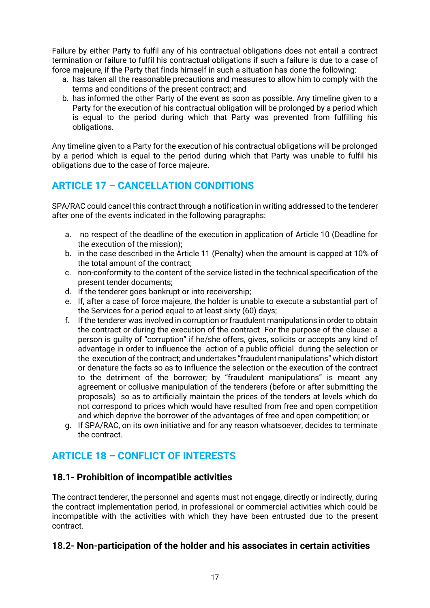Failure by either Party to fulfil any of his contractual obligations does not entail a contract termination or failure to fulfil his contractual obligations if such a failure is due to a case of force majeure, if the Party that finds himself in such a situation has done the following:

- a. has taken all the reasonable precautions and measures to allow him to comply with the terms and conditions of the present contract; and
- b. has informed the other Party of the event as soon as possible. Any timeline given to a Party for the execution of his contractual obligation will be prolonged by a period which is equal to the period during which that Party was prevented from fulfilling his obligations.

Any timeline given to a Party for the execution of his contractual obligations will be prolonged by a period which is equal to the period during which that Party was unable to fulfil his obligations due to the case of force majeure.

## **ARTICLE 17 – CANCELLATION CONDITIONS**

SPA/RAC could cancel this contract through a notification in writing addressed to the tenderer after one of the events indicated in the following paragraphs:

- a. no respect of the deadline of the execution in application of Article 10 (Deadline for the execution of the mission);
- b. in the case described in the Article 11 (Penalty) when the amount is capped at 10% of the total amount of the contract;
- c. non-conformity to the content of the service listed in the technical specification of the present tender documents;
- d. If the tenderer goes bankrupt or into receivership;
- e. If, after a case of force majeure, the holder is unable to execute a substantial part of the Services for a period equal to at least sixty (60) days;
- f. If the tenderer was involved in corruption or fraudulent manipulations in order to obtain the contract or during the execution of the contract. For the purpose of the clause: a person is guilty of "corruption" if he/she offers, gives, solicits or accepts any kind of advantage in order to influence the action of a public official during the selection or the execution of the contract; and undertakes "fraudulent manipulations" which distort or denature the facts so as to influence the selection or the execution of the contract to the detriment of the borrower; by "fraudulent manipulations" is meant any agreement or collusive manipulation of the tenderers (before or after submitting the proposals) so as to artificially maintain the prices of the tenders at levels which do not correspond to prices which would have resulted from free and open competition and which deprive the borrower of the advantages of free and open competition; or
- g. If SPA/RAC, on its own initiative and for any reason whatsoever, decides to terminate the contract.

## **ARTICLE 18 – CONFLICT OF INTERESTS**

### **18.1- Prohibition of incompatible activities**

The contract tenderer, the personnel and agents must not engage, directly or indirectly, during the contract implementation period, in professional or commercial activities which could be incompatible with the activities with which they have been entrusted due to the present contract.

### **18.2- Non-participation of the holder and his associates in certain activities**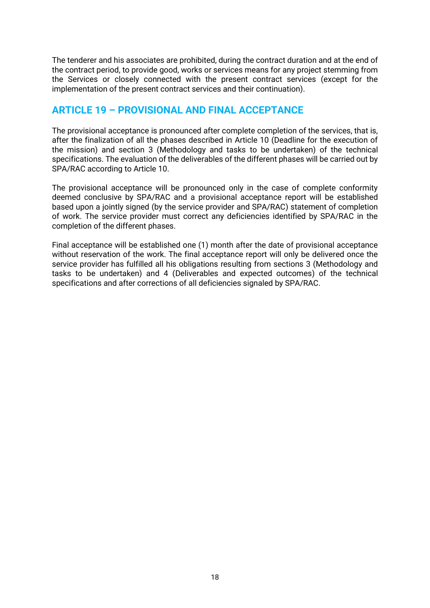The tenderer and his associates are prohibited, during the contract duration and at the end of the contract period, to provide good, works or services means for any project stemming from the Services or closely connected with the present contract services (except for the implementation of the present contract services and their continuation).

### **ARTICLE 19 – PROVISIONAL AND FINAL ACCEPTANCE**

The provisional acceptance is pronounced after complete completion of the services, that is, after the finalization of all the phases described in Article 10 (Deadline for the execution of the mission) and section 3 (Methodology and tasks to be undertaken) of the technical specifications. The evaluation of the deliverables of the different phases will be carried out by SPA/RAC according to Article 10.

The provisional acceptance will be pronounced only in the case of complete conformity deemed conclusive by SPA/RAC and a provisional acceptance report will be established based upon a jointly signed (by the service provider and SPA/RAC) statement of completion of work. The service provider must correct any deficiencies identified by SPA/RAC in the completion of the different phases.

Final acceptance will be established one (1) month after the date of provisional acceptance without reservation of the work. The final acceptance report will only be delivered once the service provider has fulfilled all his obligations resulting from sections 3 (Methodology and tasks to be undertaken) and 4 (Deliverables and expected outcomes) of the technical specifications and after corrections of all deficiencies signaled by SPA/RAC.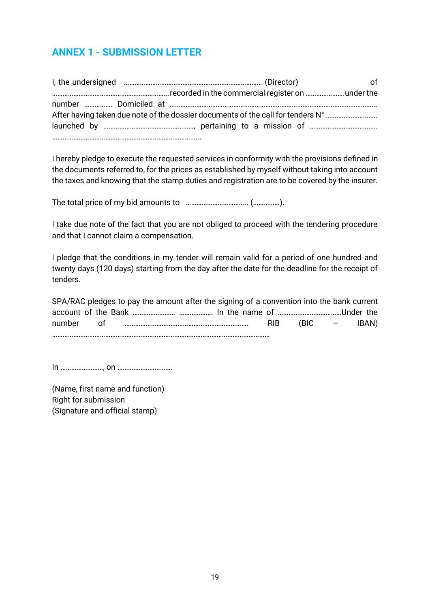## **ANNEX 1 - SUBMISSION LETTER**

|                                                                                 | იf |
|---------------------------------------------------------------------------------|----|
|                                                                                 |    |
|                                                                                 |    |
| After having taken due note of the dossier documents of the call for tenders N° |    |
|                                                                                 |    |
|                                                                                 |    |

I hereby pledge to execute the requested services in conformity with the provisions defined in the documents referred to, for the prices as established by myself without taking into account the taxes and knowing that the stamp duties and registration are to be covered by the insurer.

The total price of my bid amounts to …………………………….. (……………).

I take due note of the fact that you are not obliged to proceed with the tendering procedure and that I cannot claim a compensation.

I pledge that the conditions in my tender will remain valid for a period of one hundred and twenty days (120 days) starting from the day after the date for the deadline for the receipt of tenders.

|  | SPA/RAC pledges to pay the amount after the signing of a convention into the bank current |                |       |
|--|-------------------------------------------------------------------------------------------|----------------|-------|
|  |                                                                                           |                |       |
|  |                                                                                           | $RIB$ (BIC $-$ | IBAN) |
|  |                                                                                           |                |       |

In ……………………, on ………………………….

(Name, first name and function) Right for submission (Signature and official stamp)